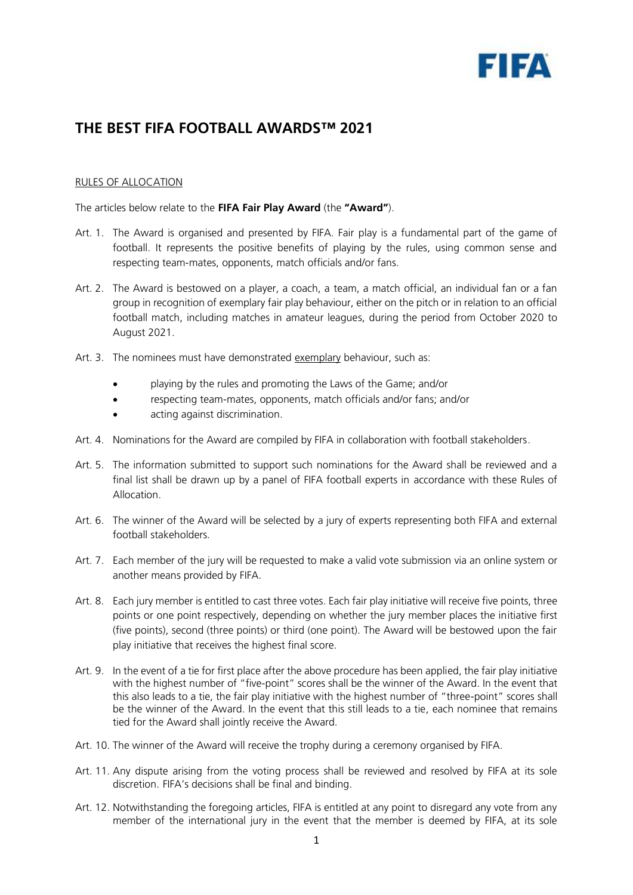

## **THE BEST FIFA FOOTBALL AWARDS™ 2021**

## RULES OF ALLOCATION

The articles below relate to the **FIFA Fair Play Award** (the **"Award"**).

- Art. 1. The Award is organised and presented by FIFA. Fair play is a fundamental part of the game of football. It represents the positive benefits of playing by the rules, using common sense and respecting team-mates, opponents, match officials and/or fans.
- Art. 2. The Award is bestowed on a player, a coach, a team, a match official, an individual fan or a fan group in recognition of exemplary fair play behaviour, either on the pitch or in relation to an official football match, including matches in amateur leagues, during the period from October 2020 to August 2021.
- Art. 3. The nominees must have demonstrated exemplary behaviour, such as:
	- playing by the rules and promoting the Laws of the Game; and/or
	- respecting team-mates, opponents, match officials and/or fans; and/or
	- acting against discrimination.
- Art. 4. Nominations for the Award are compiled by FIFA in collaboration with football stakeholders.
- Art. 5. The information submitted to support such nominations for the Award shall be reviewed and a final list shall be drawn up by a panel of FIFA football experts in accordance with these Rules of Allocation.
- Art. 6. The winner of the Award will be selected by a jury of experts representing both FIFA and external football stakeholders.
- Art. 7. Each member of the jury will be requested to make a valid vote submission via an online system or another means provided by FIFA.
- Art. 8. Each jury member is entitled to cast three votes. Each fair play initiative will receive five points, three points or one point respectively, depending on whether the jury member places the initiative first (five points), second (three points) or third (one point). The Award will be bestowed upon the fair play initiative that receives the highest final score.
- Art. 9. In the event of a tie for first place after the above procedure has been applied, the fair play initiative with the highest number of "five-point" scores shall be the winner of the Award. In the event that this also leads to a tie, the fair play initiative with the highest number of "three-point" scores shall be the winner of the Award. In the event that this still leads to a tie, each nominee that remains tied for the Award shall jointly receive the Award.
- Art. 10. The winner of the Award will receive the trophy during a ceremony organised by FIFA.
- Art. 11. Any dispute arising from the voting process shall be reviewed and resolved by FIFA at its sole discretion. FIFA's decisions shall be final and binding.
- Art. 12. Notwithstanding the foregoing articles, FIFA is entitled at any point to disregard any vote from any member of the international jury in the event that the member is deemed by FIFA, at its sole